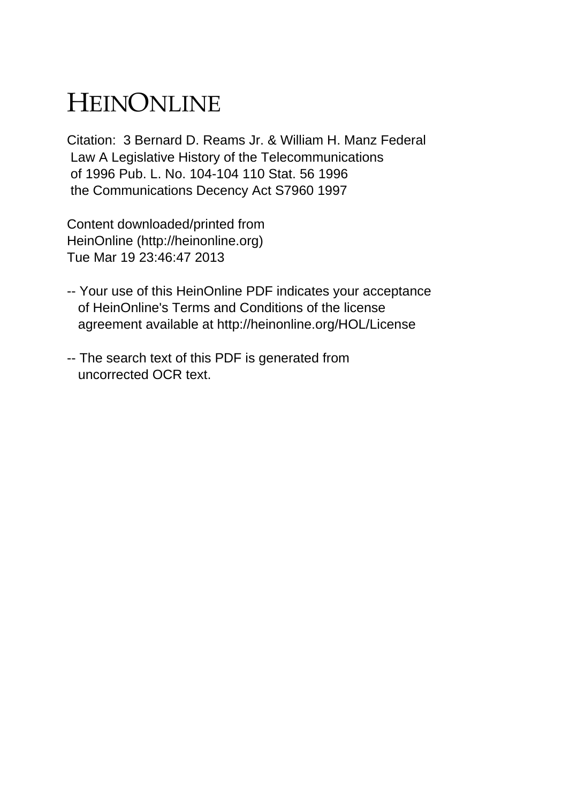## HEINONLINE

Citation: 3 Bernard D. Reams Jr. & William H. Manz Federal Law A Legislative History of the Telecommunications of 1996 Pub. L. No. 104-104 110 Stat. 56 1996 the Communications Decency Act S7960 1997

Content downloaded/printed from HeinOnline (http://heinonline.org) Tue Mar 19 23:46:47 2013

- -- Your use of this HeinOnline PDF indicates your acceptance of HeinOnline's Terms and Conditions of the license agreement available at http://heinonline.org/HOL/License
- -- The search text of this PDF is generated from uncorrected OCR text.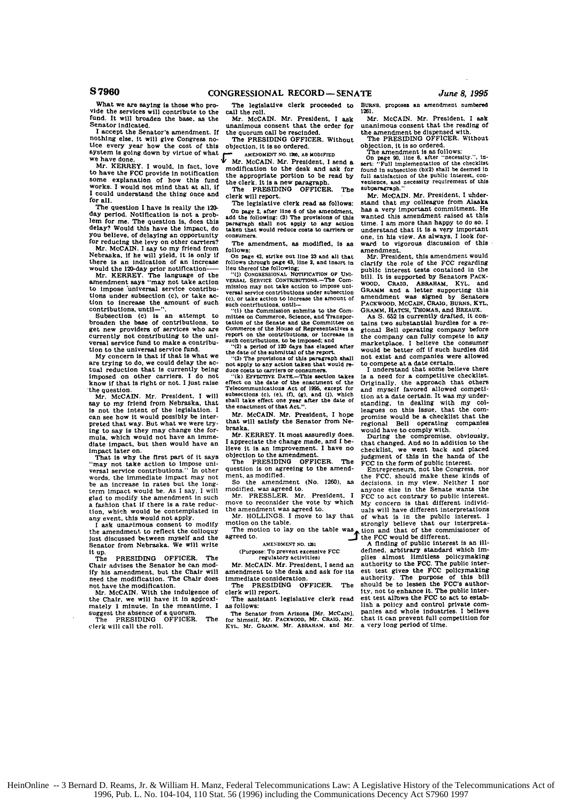vide the services will contribute to the call the roll.<br> **1261. 1261. 1261. 1261. 1261. 1261. 1261. 1261. 1261. 1261. 1261. 1261. 1261. 1261. 1261. 1261. 1261. 1261. 1261. 1261. 1261** 

to have the FCC provide in notification the appropriate portion to be read by full atlicated.<br>
some explanation of how this fund the clerk. It is a new paragraph. The subparagraph.<br>
I could understand that at all, if The P I could understand the thing once and clerk will report.<br>I could understand the thing once and clerk will report.<br>I we have clerk read as follows. Stand that my colleague from Alaska

Nebraska, if he will yield, it is only if On page 42, strike out line 23 and all that Mr. President, this amendment would<br>there is an indication of an increase follows through page 43, line 2, and insert in clarify the rol

can see how it would possibly be inter- Mr. McCAIN. Mr. President, I hope how is not the intent of the legislation. I the enactment of that Act.".<br>In the compression of the enactment of that the compression and the acheckl ing to say is they may change the for-braska.<br>mula. which would not have an imme- Mr. KERREY. It most assuredly does. which we will have to comply with.<br>
ing to say is they may change the for-<br>
mula, which would not have an Imme-<br>
Mr. KERREY. It most assuredly does. During the compromise, obviously,<br>
diate impact, but then would have an I

That is why the first part **of** it says objection to the amendment. judgment of this in the hands of the 'may not take action to impose uni- The PRESIDING OFFICER. The **FCC** in the form of public interest. versal service contributions." In other agrees were also the action to impose uni-<br>"entrepreneurs, not the Congress. norm of public interest.<br>words, the immediate impact may not ment, as modified.<br>Words, the FCC, should ma be an increase in rates but the long-<br>term impact would be. As I asy, I will modified, was agreed to.<br> $\frac{1}{n}$  and the mendment in such Mr. PRESSLER. Mr. President, such a modify the amendment in such Mr. PRESSLER. Mr. President. I FCC to act contrary to public interest.<br>
a fashion that if there is a rate reduc-<br>
tion which would be contemplated in the amendment was agreed to.<br>
tion w a fashion that if there is a rate reduc-<br>a fashion that if there is a rate reduc-<br>tion, which would be contemplated in the amendment was agreed to. The same of the same of the same of the same of the same of the amendment

Examplement this would not apply.<br>
In H. HOLLINGS. I move to lay that of what is in the public interest. It ask unarimous consent to modify motion on the table.<br>
It are all the amendment to reflect the colloquy The motion

What we are saying **is** those who pro- The legislative clerk proceeded to BURNs. proposes an amendment numbered

fund. It will broaden the base, as the Mr. McCAIN. Mr. President, I ask Senator indicated. unanimous consent that the order for

nothing else, it will give Congress no- The PRESIDING OFFICER. Without The **PRESIDING** OFFICER. Without tice every year how the cost **of** this objection, it is so ordered, objection, it is **so** ordered.

The Have the FCC provide in notification the appropriate portion to the read and ask for found in subsection to bave the FCC provide in notification the appropriate portion to be read ask for found in subsection (b/2) shal

The question I have is really the 120-<br>In page 2, after line 6 of the amendment. has a very important commitment. He<br>day period. Notification is not a prob-<br>lem for me. The question is, does this paragraph shall not apply

amendment says "may not take action **vERSAL SERVICE CONTRIBUTIONS.-The Com**- unit at a supported by SERARA KYL, a amendment says "may not take action<br>wission may not take action. This is a measurement of the series and<br>tions under subsection (c), or take ac-<br>versal service contributions under subsection<br>tion to increase the amount of

Mr. McCAIN. Mr. President, I hope promise would be a checklist that the braska will satisfy the Senator from Ne- regional Bell operating companies braska

mula, which would not have an imme-<br>diate impact, but then would have an **I** appreciate the change made, and I be-<br>impact later on.<br>invact later on.

blue authority. The purpose of this bill<br>fights amendment, but the Chair will amendment to the desk and ask for its est test gives the FCC policymaking<br>need the modification. The Chair does immediate consideration. authori

Senator indicated, unanimous consent that the order for unanimous consent that the reading of I accept the Senator's amendment. **If** the quorum **call** be rescinded, the amendment be dispensed with.

system is going down by virtue of what  $\overline{m}$  a MENDMENT NO. 1200, AS MODIFIED The amendment is as follows:<br>Whave done, on page 90, line 8, after "necessity.", in-<br>Mr. KERREY. I would, in fact, love modification to the

for all.<br>The question I have is really the 120-<br>The legislative clerk read as follows: stand that my colleague from Alaska<br>a very important commitment. He lem for me. The question is, does this paragraph shall not apply to any action time. I am more than happy to do so. I help and the interest of delaying an opportunity consumers. One is view. As always. I bound this have th for reducing the levy on other carriers? The amendment, as modified, is as ward to vigorous discussion of this<br>Mr. McCAIN. I say to my friend from follows:

would the 120-day prior notification- lieu thereof the following; public interest tests contained in the NOTOWS through page 42, strike out line 23 and all that MR. President, this amendment would<br>follows through page 43, bine 2, and insert in clarify the role of the FCC regarding<br>ite where the following:<br> $^{10}$ () CONGRESSION

tion to increase the amount of such such that actually contributions, until—<br>
contributions, until—<br>
contributions, until—<br>
contributions, until—<br>
contributions, until—<br>
contributions, until—<br>
contributions, then the base

My concern is that if that is what we <sup>the</sup> case of the summinar of the parameter in the companies were allowed<br>that reduction that is what we is a comparison of this parameter and two the reduction that is currently bein

lieve it is an improvement. I have no checklist, we went back and placed<br>objection to the amendment.<br>The PRESIDING OFFICER. The erc in the form of sublic interest.

as modified.<br>the FCC, should make these kinds of<br>the amendment. (No. 1260), as decisions, in my view. Neither I nor anyone else in the Senate wants the. FCC to act contrary to public interest.

not have the modification. The Chair does immediate consideration.<br>
The modification and the modification of the PRESIDING OFFICER. The should be to lessen the FCC's author-<br>
Mr. McCAIN, With the indulgence of clerk will r Nir. McCAIN. With the indulgence of clerk will report. Ity. not to enhance it. The public inter-the Chair, we will have it in aplroxi- The assistant legislative clerk read est test alrows the **FCC** to act to estabthe Chair, we will have it in approximately 1 minute. In the meantime, I as follows:<br>mately 1 minute. In the meantime, I as follows:<br>lish a policy and control private com-<br>suggest the absence of a quorum. The Senator from Suppose the absence of a quorum.<br>The Senator from Arizona [Mr. McCAIN], panies and whole industries. I believe<br>The Senator from Arizona Mr. Cano, Mr. Carl and What I can prevent full competition for<br>Clerk will call the rol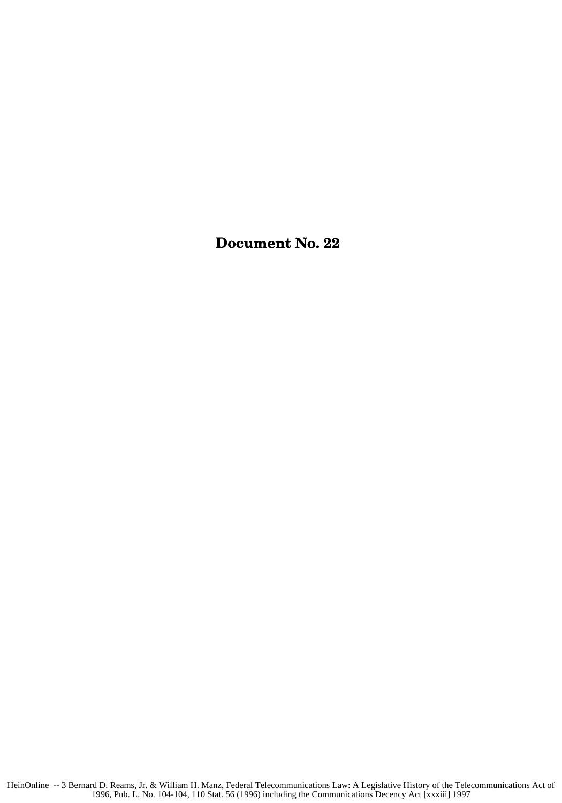Document No. 22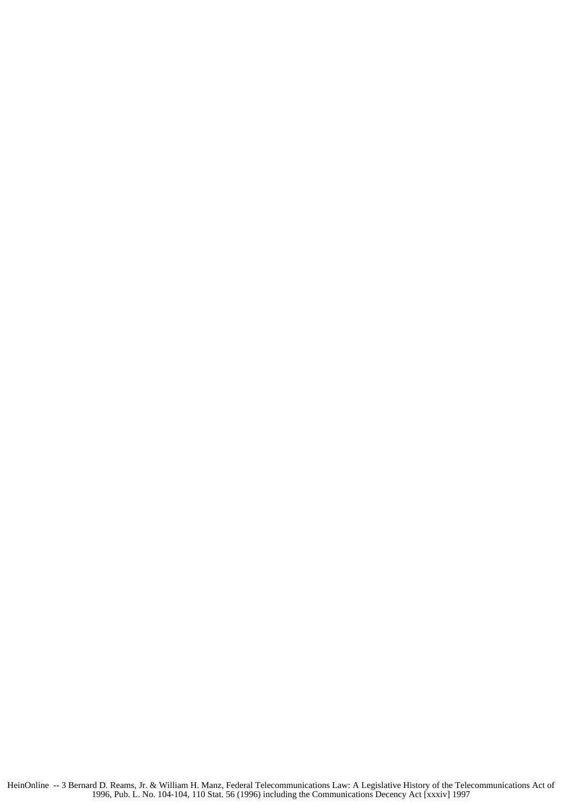HeinOnline -- 3 Bernard D. Reams, Jr. & William H. Manz, Federal Telecommunications Law: A Legislative History of the Telecommunications Act of 1996, Pub. L. No. 104-104, 110 Stat. 56 (1996) including the Communications Decency Act [xxxiv] 1997